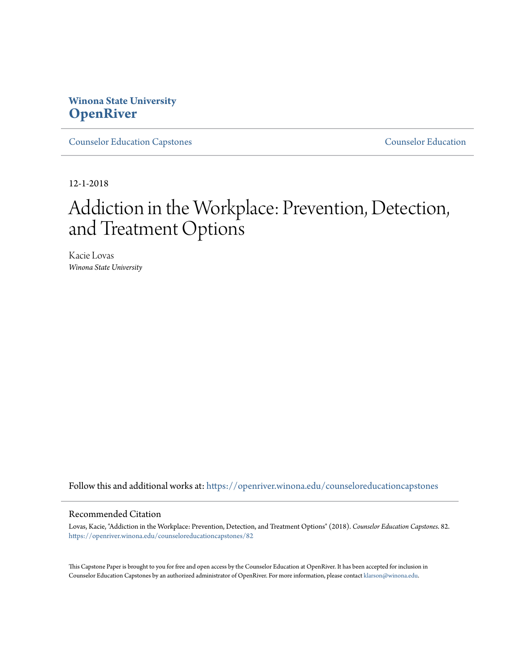# **Winona State University [OpenRiver](https://openriver.winona.edu?utm_source=openriver.winona.edu%2Fcounseloreducationcapstones%2F82&utm_medium=PDF&utm_campaign=PDFCoverPages)**

[Counselor Education Capstones](https://openriver.winona.edu/counseloreducationcapstones?utm_source=openriver.winona.edu%2Fcounseloreducationcapstones%2F82&utm_medium=PDF&utm_campaign=PDFCoverPages) [Counselor Education](https://openriver.winona.edu/counseloreducation?utm_source=openriver.winona.edu%2Fcounseloreducationcapstones%2F82&utm_medium=PDF&utm_campaign=PDFCoverPages)

12-1-2018

# Addiction in the Workplace: Prevention, Detection, and Treatment Options

Kacie Lovas *Winona State University*

Follow this and additional works at: [https://openriver.winona.edu/counseloreducationcapstones](https://openriver.winona.edu/counseloreducationcapstones?utm_source=openriver.winona.edu%2Fcounseloreducationcapstones%2F82&utm_medium=PDF&utm_campaign=PDFCoverPages)

#### Recommended Citation

Lovas, Kacie, "Addiction in the Workplace: Prevention, Detection, and Treatment Options" (2018). *Counselor Education Capstones*. 82. [https://openriver.winona.edu/counseloreducationcapstones/82](https://openriver.winona.edu/counseloreducationcapstones/82?utm_source=openriver.winona.edu%2Fcounseloreducationcapstones%2F82&utm_medium=PDF&utm_campaign=PDFCoverPages)

This Capstone Paper is brought to you for free and open access by the Counselor Education at OpenRiver. It has been accepted for inclusion in Counselor Education Capstones by an authorized administrator of OpenRiver. For more information, please contact [klarson@winona.edu](mailto:klarson@winona.edu).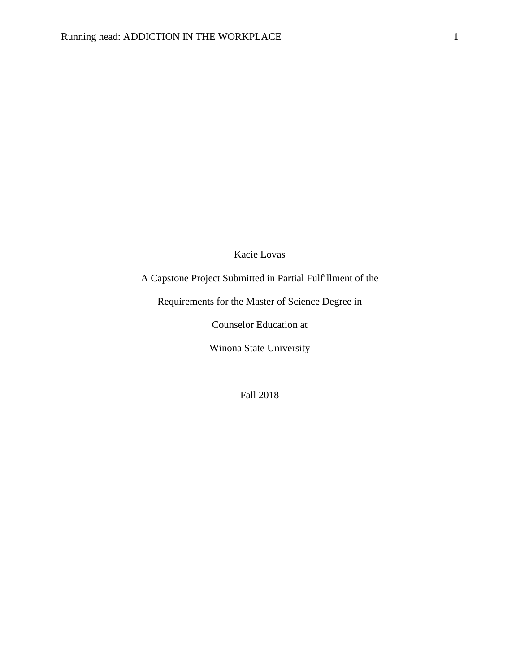## Kacie Lovas

# A Capstone Project Submitted in Partial Fulfillment of the

Requirements for the Master of Science Degree in

Counselor Education at

Winona State University

Fall 2018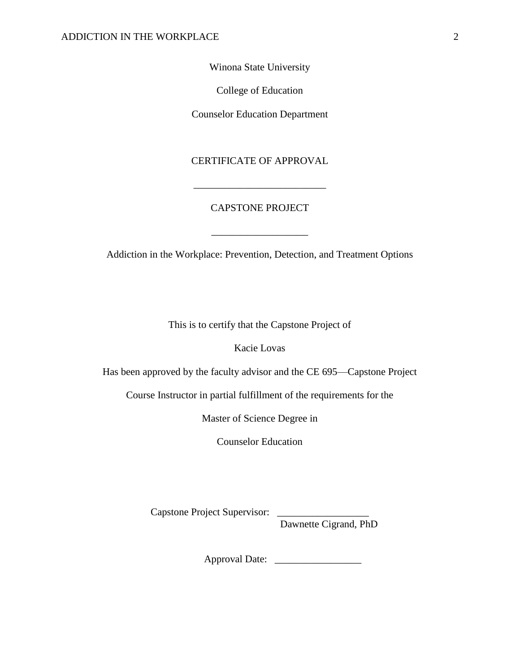Winona State University

College of Education

Counselor Education Department

## CERTIFICATE OF APPROVAL

\_\_\_\_\_\_\_\_\_\_\_\_\_\_\_\_\_\_\_\_\_\_\_\_\_\_

## CAPSTONE PROJECT

Addiction in the Workplace: Prevention, Detection, and Treatment Options

\_\_\_\_\_\_\_\_\_\_\_\_\_\_\_\_\_\_\_

This is to certify that the Capstone Project of

Kacie Lovas

Has been approved by the faculty advisor and the CE 695—Capstone Project

Course Instructor in partial fulfillment of the requirements for the

Master of Science Degree in

Counselor Education

Capstone Project Supervisor: \_

Dawnette Cigrand, PhD

Approval Date: \_\_\_\_\_\_\_\_\_\_\_\_\_\_\_\_\_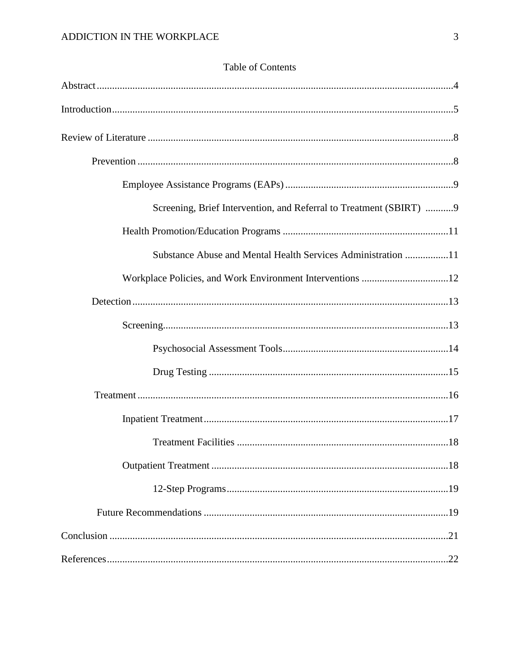| Screening, Brief Intervention, and Referral to Treatment (SBIRT)  9 |
|---------------------------------------------------------------------|
|                                                                     |
| Substance Abuse and Mental Health Services Administration 11        |
|                                                                     |
|                                                                     |
|                                                                     |
|                                                                     |
|                                                                     |
|                                                                     |
|                                                                     |
|                                                                     |
|                                                                     |
|                                                                     |
|                                                                     |
|                                                                     |
|                                                                     |

# Table of Contents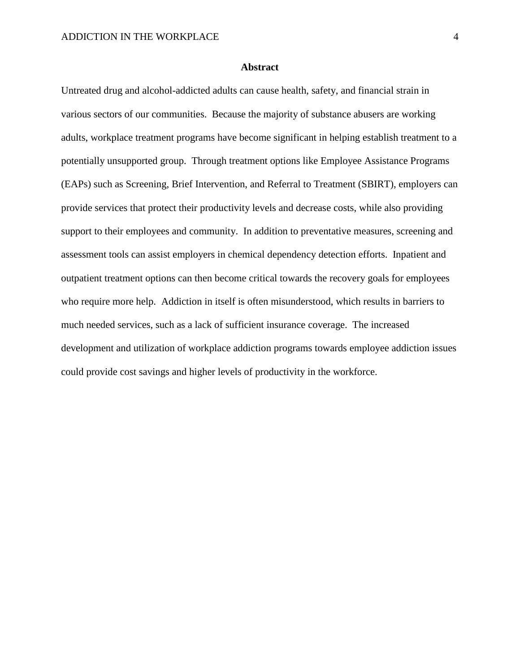#### **Abstract**

Untreated drug and alcohol-addicted adults can cause health, safety, and financial strain in various sectors of our communities. Because the majority of substance abusers are working adults, workplace treatment programs have become significant in helping establish treatment to a potentially unsupported group. Through treatment options like Employee Assistance Programs (EAPs) such as Screening, Brief Intervention, and Referral to Treatment (SBIRT), employers can provide services that protect their productivity levels and decrease costs, while also providing support to their employees and community. In addition to preventative measures, screening and assessment tools can assist employers in chemical dependency detection efforts. Inpatient and outpatient treatment options can then become critical towards the recovery goals for employees who require more help. Addiction in itself is often misunderstood, which results in barriers to much needed services, such as a lack of sufficient insurance coverage. The increased development and utilization of workplace addiction programs towards employee addiction issues could provide cost savings and higher levels of productivity in the workforce.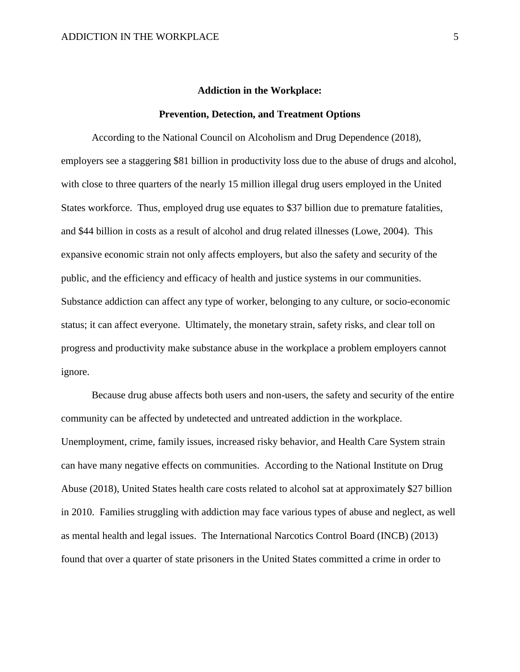#### **Addiction in the Workplace:**

#### **Prevention, Detection, and Treatment Options**

According to the National Council on Alcoholism and Drug Dependence (2018), employers see a staggering \$81 billion in productivity loss due to the abuse of drugs and alcohol, with close to three quarters of the nearly 15 million illegal drug users employed in the United States workforce. Thus, employed drug use equates to \$37 billion due to premature fatalities, and \$44 billion in costs as a result of alcohol and drug related illnesses (Lowe, 2004). This expansive economic strain not only affects employers, but also the safety and security of the public, and the efficiency and efficacy of health and justice systems in our communities. Substance addiction can affect any type of worker, belonging to any culture, or socio-economic status; it can affect everyone. Ultimately, the monetary strain, safety risks, and clear toll on progress and productivity make substance abuse in the workplace a problem employers cannot ignore.

Because drug abuse affects both users and non-users, the safety and security of the entire community can be affected by undetected and untreated addiction in the workplace. Unemployment, crime, family issues, increased risky behavior, and Health Care System strain can have many negative effects on communities. According to the National Institute on Drug Abuse (2018), United States health care costs related to alcohol sat at approximately \$27 billion in 2010. Families struggling with addiction may face various types of abuse and neglect, as well as mental health and legal issues. The International Narcotics Control Board (INCB) (2013) found that over a quarter of state prisoners in the United States committed a crime in order to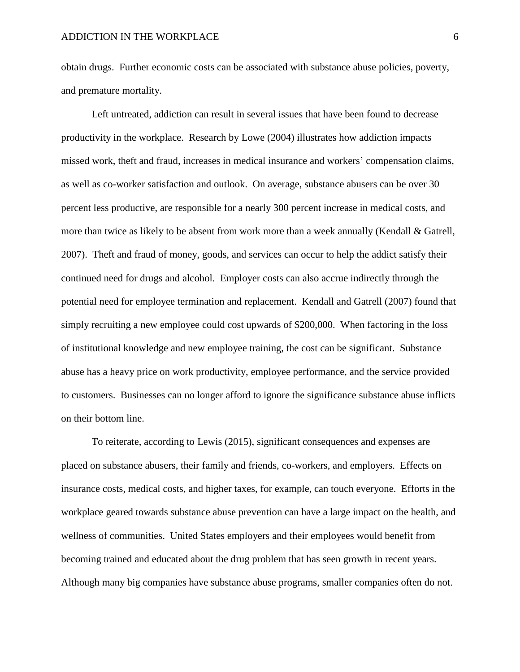obtain drugs. Further economic costs can be associated with substance abuse policies, poverty, and premature mortality.

Left untreated, addiction can result in several issues that have been found to decrease productivity in the workplace. Research by Lowe (2004) illustrates how addiction impacts missed work, theft and fraud, increases in medical insurance and workers' compensation claims, as well as co-worker satisfaction and outlook. On average, substance abusers can be over 30 percent less productive, are responsible for a nearly 300 percent increase in medical costs, and more than twice as likely to be absent from work more than a week annually (Kendall  $\&$  Gatrell, 2007). Theft and fraud of money, goods, and services can occur to help the addict satisfy their continued need for drugs and alcohol. Employer costs can also accrue indirectly through the potential need for employee termination and replacement. Kendall and Gatrell (2007) found that simply recruiting a new employee could cost upwards of \$200,000. When factoring in the loss of institutional knowledge and new employee training, the cost can be significant. Substance abuse has a heavy price on work productivity, employee performance, and the service provided to customers. Businesses can no longer afford to ignore the significance substance abuse inflicts on their bottom line.

To reiterate, according to Lewis (2015), significant consequences and expenses are placed on substance abusers, their family and friends, co-workers, and employers. Effects on insurance costs, medical costs, and higher taxes, for example, can touch everyone. Efforts in the workplace geared towards substance abuse prevention can have a large impact on the health, and wellness of communities. United States employers and their employees would benefit from becoming trained and educated about the drug problem that has seen growth in recent years. Although many big companies have substance abuse programs, smaller companies often do not.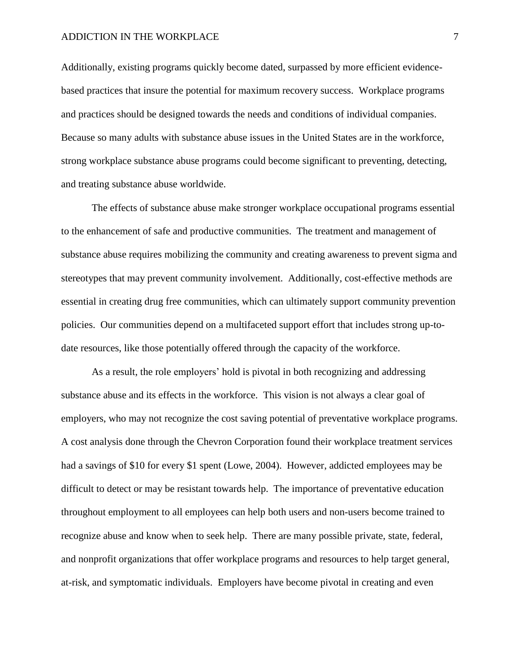#### ADDICTION IN THE WORKPLACE  $\overline{7}$

Additionally, existing programs quickly become dated, surpassed by more efficient evidencebased practices that insure the potential for maximum recovery success. Workplace programs and practices should be designed towards the needs and conditions of individual companies. Because so many adults with substance abuse issues in the United States are in the workforce, strong workplace substance abuse programs could become significant to preventing, detecting, and treating substance abuse worldwide.

The effects of substance abuse make stronger workplace occupational programs essential to the enhancement of safe and productive communities. The treatment and management of substance abuse requires mobilizing the community and creating awareness to prevent sigma and stereotypes that may prevent community involvement. Additionally, cost-effective methods are essential in creating drug free communities, which can ultimately support community prevention policies. Our communities depend on a multifaceted support effort that includes strong up-todate resources, like those potentially offered through the capacity of the workforce.

As a result, the role employers' hold is pivotal in both recognizing and addressing substance abuse and its effects in the workforce. This vision is not always a clear goal of employers, who may not recognize the cost saving potential of preventative workplace programs. A cost analysis done through the Chevron Corporation found their workplace treatment services had a savings of \$10 for every \$1 spent (Lowe, 2004). However, addicted employees may be difficult to detect or may be resistant towards help. The importance of preventative education throughout employment to all employees can help both users and non-users become trained to recognize abuse and know when to seek help. There are many possible private, state, federal, and nonprofit organizations that offer workplace programs and resources to help target general, at-risk, and symptomatic individuals. Employers have become pivotal in creating and even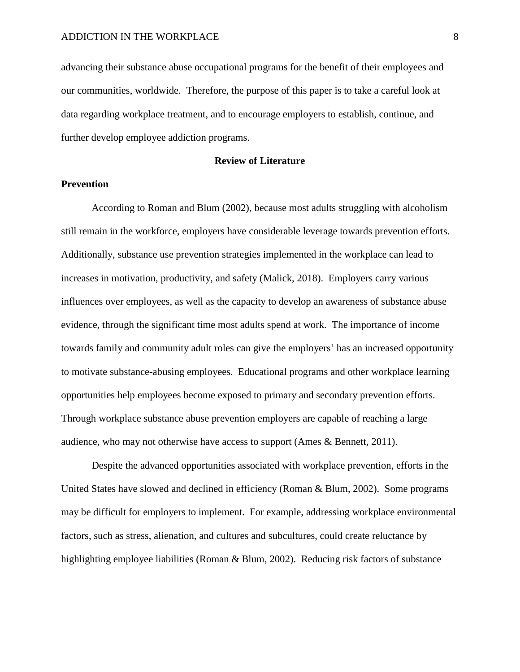advancing their substance abuse occupational programs for the benefit of their employees and our communities, worldwide. Therefore, the purpose of this paper is to take a careful look at data regarding workplace treatment, and to encourage employers to establish, continue, and further develop employee addiction programs.

#### **Review of Literature**

#### **Prevention**

According to Roman and Blum (2002), because most adults struggling with alcoholism still remain in the workforce, employers have considerable leverage towards prevention efforts. Additionally, substance use prevention strategies implemented in the workplace can lead to increases in motivation, productivity, and safety (Malick, 2018). Employers carry various influences over employees, as well as the capacity to develop an awareness of substance abuse evidence, through the significant time most adults spend at work. The importance of income towards family and community adult roles can give the employers' has an increased opportunity to motivate substance-abusing employees. Educational programs and other workplace learning opportunities help employees become exposed to primary and secondary prevention efforts. Through workplace substance abuse prevention employers are capable of reaching a large audience, who may not otherwise have access to support (Ames & Bennett, 2011).

Despite the advanced opportunities associated with workplace prevention, efforts in the United States have slowed and declined in efficiency (Roman & Blum, 2002). Some programs may be difficult for employers to implement. For example, addressing workplace environmental factors, such as stress, alienation, and cultures and subcultures, could create reluctance by highlighting employee liabilities (Roman & Blum, 2002). Reducing risk factors of substance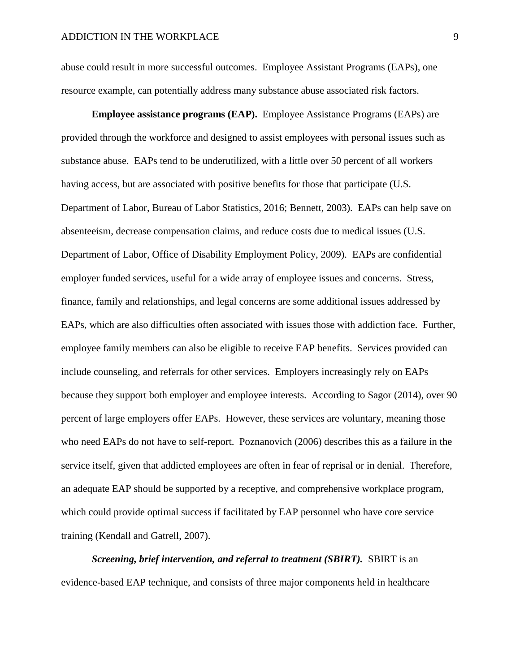abuse could result in more successful outcomes. Employee Assistant Programs (EAPs), one resource example, can potentially address many substance abuse associated risk factors.

**Employee assistance programs (EAP).** Employee Assistance Programs (EAPs) are provided through the workforce and designed to assist employees with personal issues such as substance abuse. EAPs tend to be underutilized, with a little over 50 percent of all workers having access, but are associated with positive benefits for those that participate (U.S. Department of Labor, Bureau of Labor Statistics, 2016; Bennett, 2003). EAPs can help save on absenteeism, decrease compensation claims, and reduce costs due to medical issues (U.S. Department of Labor, Office of Disability Employment Policy, 2009). EAPs are confidential employer funded services, useful for a wide array of employee issues and concerns. Stress, finance, family and relationships, and legal concerns are some additional issues addressed by EAPs, which are also difficulties often associated with issues those with addiction face. Further, employee family members can also be eligible to receive EAP benefits. Services provided can include counseling, and referrals for other services. Employers increasingly rely on EAPs because they support both employer and employee interests. According to Sagor (2014), over 90 percent of large employers offer EAPs. However, these services are voluntary, meaning those who need EAPs do not have to self-report. Poznanovich (2006) describes this as a failure in the service itself, given that addicted employees are often in fear of reprisal or in denial. Therefore, an adequate EAP should be supported by a receptive, and comprehensive workplace program, which could provide optimal success if facilitated by EAP personnel who have core service training (Kendall and Gatrell, 2007).

*Screening, brief intervention, and referral to treatment (SBIRT).* SBIRT is an evidence-based EAP technique, and consists of three major components held in healthcare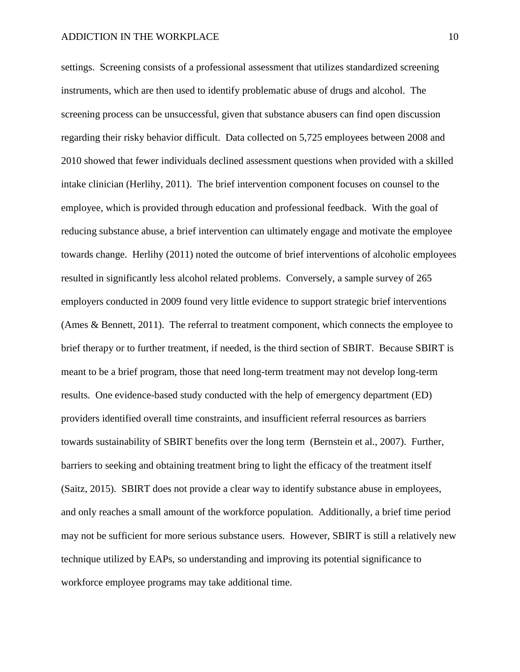settings. Screening consists of a professional assessment that utilizes standardized screening instruments, which are then used to identify problematic abuse of drugs and alcohol. The screening process can be unsuccessful, given that substance abusers can find open discussion regarding their risky behavior difficult. Data collected on 5,725 employees between 2008 and 2010 showed that fewer individuals declined assessment questions when provided with a skilled intake clinician (Herlihy, 2011). The brief intervention component focuses on counsel to the employee, which is provided through education and professional feedback. With the goal of reducing substance abuse, a brief intervention can ultimately engage and motivate the employee towards change. Herlihy (2011) noted the outcome of brief interventions of alcoholic employees resulted in significantly less alcohol related problems. Conversely, a sample survey of 265 employers conducted in 2009 found very little evidence to support strategic brief interventions (Ames & Bennett, 2011). The referral to treatment component, which connects the employee to brief therapy or to further treatment, if needed, is the third section of SBIRT. Because SBIRT is meant to be a brief program, those that need long-term treatment may not develop long-term results. One evidence-based study conducted with the help of emergency department (ED) providers identified overall time constraints, and insufficient referral resources as barriers towards sustainability of SBIRT benefits over the long term (Bernstein et al., 2007). Further, barriers to seeking and obtaining treatment bring to light the efficacy of the treatment itself (Saitz, 2015). SBIRT does not provide a clear way to identify substance abuse in employees, and only reaches a small amount of the workforce population. Additionally, a brief time period may not be sufficient for more serious substance users. However, SBIRT is still a relatively new technique utilized by EAPs, so understanding and improving its potential significance to workforce employee programs may take additional time.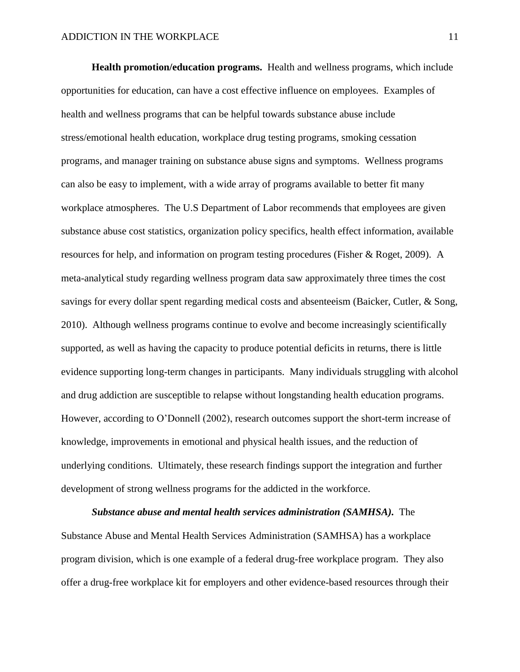**Health promotion/education programs.** Health and wellness programs, which include opportunities for education, can have a cost effective influence on employees. Examples of health and wellness programs that can be helpful towards substance abuse include stress/emotional health education, workplace drug testing programs, smoking cessation programs, and manager training on substance abuse signs and symptoms. Wellness programs can also be easy to implement, with a wide array of programs available to better fit many workplace atmospheres. The U.S Department of Labor recommends that employees are given substance abuse cost statistics, organization policy specifics, health effect information, available resources for help, and information on program testing procedures (Fisher & Roget, 2009). A meta-analytical study regarding wellness program data saw approximately three times the cost savings for every dollar spent regarding medical costs and absenteeism (Baicker, Cutler, & Song, 2010). Although wellness programs continue to evolve and become increasingly scientifically supported, as well as having the capacity to produce potential deficits in returns, there is little evidence supporting long-term changes in participants. Many individuals struggling with alcohol and drug addiction are susceptible to relapse without longstanding health education programs. However, according to O'Donnell (2002), research outcomes support the short-term increase of knowledge, improvements in emotional and physical health issues, and the reduction of underlying conditions. Ultimately, these research findings support the integration and further development of strong wellness programs for the addicted in the workforce.

*Substance abuse and mental health services administration (SAMHSA).* The Substance Abuse and Mental Health Services Administration (SAMHSA) has a workplace program division, which is one example of a federal drug-free workplace program. They also offer a drug-free workplace kit for employers and other evidence-based resources through their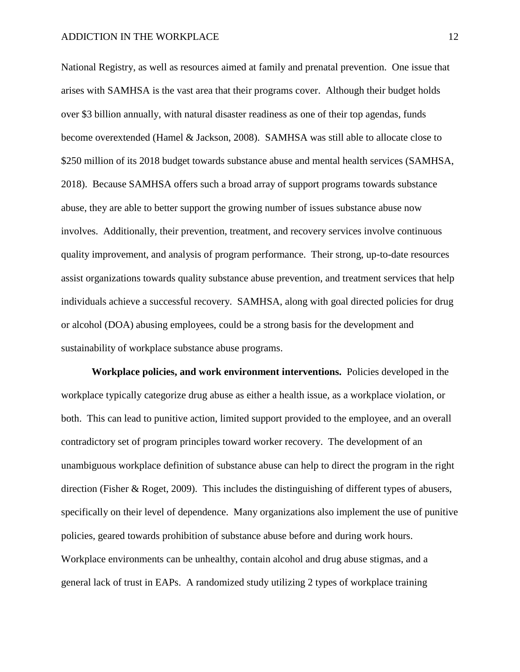National Registry, as well as resources aimed at family and prenatal prevention. One issue that arises with SAMHSA is the vast area that their programs cover. Although their budget holds over \$3 billion annually, with natural disaster readiness as one of their top agendas, funds become overextended (Hamel & Jackson, 2008). SAMHSA was still able to allocate close to \$250 million of its 2018 budget towards substance abuse and mental health services (SAMHSA, 2018). Because SAMHSA offers such a broad array of support programs towards substance abuse, they are able to better support the growing number of issues substance abuse now involves. Additionally, their prevention, treatment, and recovery services involve continuous quality improvement, and analysis of program performance. Their strong, up-to-date resources assist organizations towards quality substance abuse prevention, and treatment services that help individuals achieve a successful recovery. SAMHSA, along with goal directed policies for drug or alcohol (DOA) abusing employees, could be a strong basis for the development and sustainability of workplace substance abuse programs.

**Workplace policies, and work environment interventions.** Policies developed in the workplace typically categorize drug abuse as either a health issue, as a workplace violation, or both. This can lead to punitive action, limited support provided to the employee, and an overall contradictory set of program principles toward worker recovery. The development of an unambiguous workplace definition of substance abuse can help to direct the program in the right direction (Fisher & Roget, 2009). This includes the distinguishing of different types of abusers, specifically on their level of dependence. Many organizations also implement the use of punitive policies, geared towards prohibition of substance abuse before and during work hours. Workplace environments can be unhealthy, contain alcohol and drug abuse stigmas, and a general lack of trust in EAPs. A randomized study utilizing 2 types of workplace training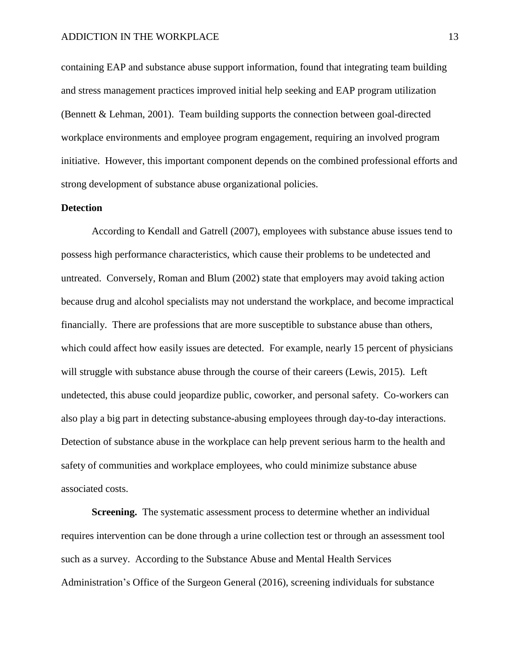containing EAP and substance abuse support information, found that integrating team building and stress management practices improved initial help seeking and EAP program utilization (Bennett & Lehman, 2001). Team building supports the connection between goal-directed workplace environments and employee program engagement, requiring an involved program initiative. However, this important component depends on the combined professional efforts and strong development of substance abuse organizational policies.

### **Detection**

According to Kendall and Gatrell (2007), employees with substance abuse issues tend to possess high performance characteristics, which cause their problems to be undetected and untreated. Conversely, Roman and Blum (2002) state that employers may avoid taking action because drug and alcohol specialists may not understand the workplace, and become impractical financially. There are professions that are more susceptible to substance abuse than others, which could affect how easily issues are detected. For example, nearly 15 percent of physicians will struggle with substance abuse through the course of their careers (Lewis, 2015). Left undetected, this abuse could jeopardize public, coworker, and personal safety. Co-workers can also play a big part in detecting substance-abusing employees through day-to-day interactions. Detection of substance abuse in the workplace can help prevent serious harm to the health and safety of communities and workplace employees, who could minimize substance abuse associated costs.

**Screening.** The systematic assessment process to determine whether an individual requires intervention can be done through a urine collection test or through an assessment tool such as a survey. According to the Substance Abuse and Mental Health Services Administration's Office of the Surgeon General (2016), screening individuals for substance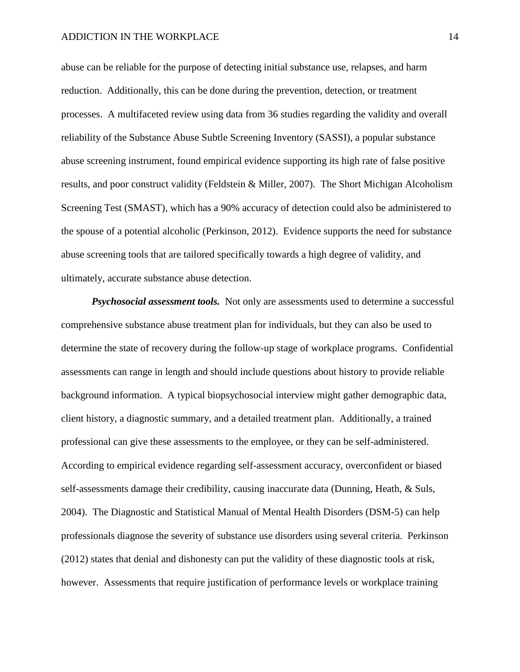#### ADDICTION IN THE WORKPLACE 14

abuse can be reliable for the purpose of detecting initial substance use, relapses, and harm reduction. Additionally, this can be done during the prevention, detection, or treatment processes. A multifaceted review using data from 36 studies regarding the validity and overall reliability of the Substance Abuse Subtle Screening Inventory (SASSI), a popular substance abuse screening instrument, found empirical evidence supporting its high rate of false positive results, and poor construct validity (Feldstein & Miller, 2007). The Short Michigan Alcoholism Screening Test (SMAST), which has a 90% accuracy of detection could also be administered to the spouse of a potential alcoholic (Perkinson, 2012). Evidence supports the need for substance abuse screening tools that are tailored specifically towards a high degree of validity, and ultimately, accurate substance abuse detection.

*Psychosocial assessment tools.* Not only are assessments used to determine a successful comprehensive substance abuse treatment plan for individuals, but they can also be used to determine the state of recovery during the follow-up stage of workplace programs. Confidential assessments can range in length and should include questions about history to provide reliable background information. A typical biopsychosocial interview might gather demographic data, client history, a diagnostic summary, and a detailed treatment plan. Additionally, a trained professional can give these assessments to the employee, or they can be self-administered. According to empirical evidence regarding self-assessment accuracy, overconfident or biased self-assessments damage their credibility, causing inaccurate data (Dunning, Heath, & Suls, 2004). The Diagnostic and Statistical Manual of Mental Health Disorders (DSM-5) can help professionals diagnose the severity of substance use disorders using several criteria. Perkinson (2012) states that denial and dishonesty can put the validity of these diagnostic tools at risk, however. Assessments that require justification of performance levels or workplace training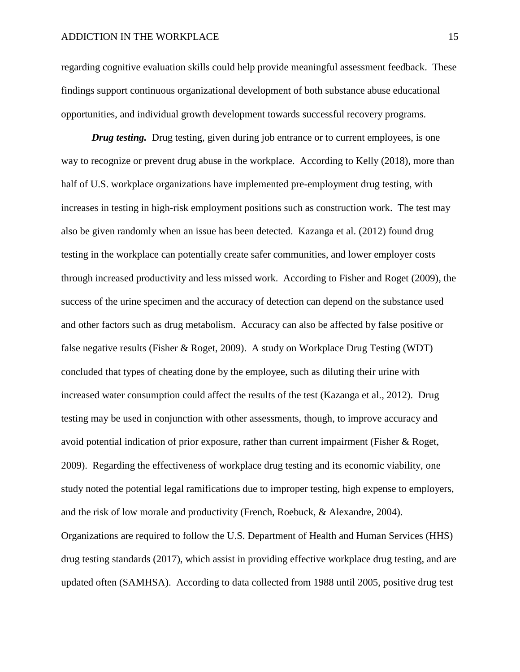regarding cognitive evaluation skills could help provide meaningful assessment feedback. These findings support continuous organizational development of both substance abuse educational opportunities, and individual growth development towards successful recovery programs.

*Drug testing.* Drug testing, given during job entrance or to current employees, is one way to recognize or prevent drug abuse in the workplace. According to Kelly (2018), more than half of U.S. workplace organizations have implemented pre-employment drug testing, with increases in testing in high-risk employment positions such as construction work. The test may also be given randomly when an issue has been detected. Kazanga et al. (2012) found drug testing in the workplace can potentially create safer communities, and lower employer costs through increased productivity and less missed work. According to Fisher and Roget (2009), the success of the urine specimen and the accuracy of detection can depend on the substance used and other factors such as drug metabolism. Accuracy can also be affected by false positive or false negative results (Fisher & Roget, 2009). A study on Workplace Drug Testing (WDT) concluded that types of cheating done by the employee, such as diluting their urine with increased water consumption could affect the results of the test (Kazanga et al., 2012). Drug testing may be used in conjunction with other assessments, though, to improve accuracy and avoid potential indication of prior exposure, rather than current impairment (Fisher & Roget, 2009). Regarding the effectiveness of workplace drug testing and its economic viability, one study noted the potential legal ramifications due to improper testing, high expense to employers, and the risk of low morale and productivity (French, Roebuck, & Alexandre, 2004). Organizations are required to follow the U.S. Department of Health and Human Services (HHS) drug testing standards (2017), which assist in providing effective workplace drug testing, and are updated often (SAMHSA). According to data collected from 1988 until 2005, positive drug test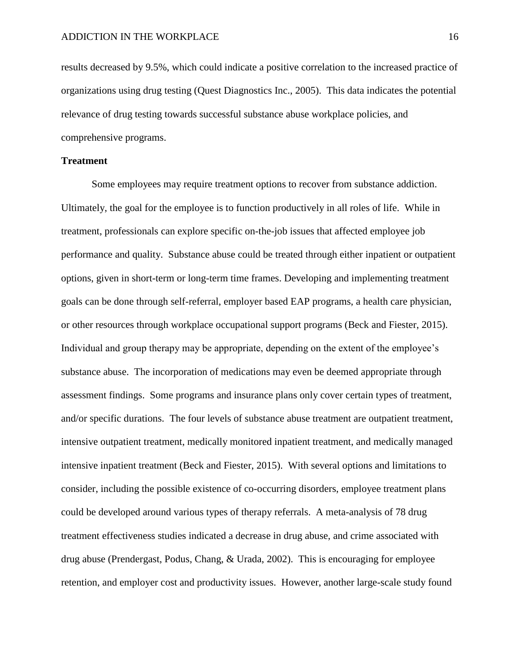results decreased by 9.5%, which could indicate a positive correlation to the increased practice of organizations using drug testing (Quest Diagnostics Inc., 2005). This data indicates the potential relevance of drug testing towards successful substance abuse workplace policies, and comprehensive programs.

#### **Treatment**

Some employees may require treatment options to recover from substance addiction. Ultimately, the goal for the employee is to function productively in all roles of life. While in treatment, professionals can explore specific on-the-job issues that affected employee job performance and quality. Substance abuse could be treated through either inpatient or outpatient options, given in short-term or long-term time frames. Developing and implementing treatment goals can be done through self-referral, employer based EAP programs, a health care physician, or other resources through workplace occupational support programs (Beck and Fiester, 2015). Individual and group therapy may be appropriate, depending on the extent of the employee's substance abuse. The incorporation of medications may even be deemed appropriate through assessment findings. Some programs and insurance plans only cover certain types of treatment, and/or specific durations. The four levels of substance abuse treatment are outpatient treatment, intensive outpatient treatment, medically monitored inpatient treatment, and medically managed intensive inpatient treatment (Beck and Fiester, 2015). With several options and limitations to consider, including the possible existence of co-occurring disorders, employee treatment plans could be developed around various types of therapy referrals. A meta-analysis of 78 drug treatment effectiveness studies indicated a decrease in drug abuse, and crime associated with drug abuse (Prendergast, Podus, Chang, & Urada, 2002). This is encouraging for employee retention, and employer cost and productivity issues. However, another large-scale study found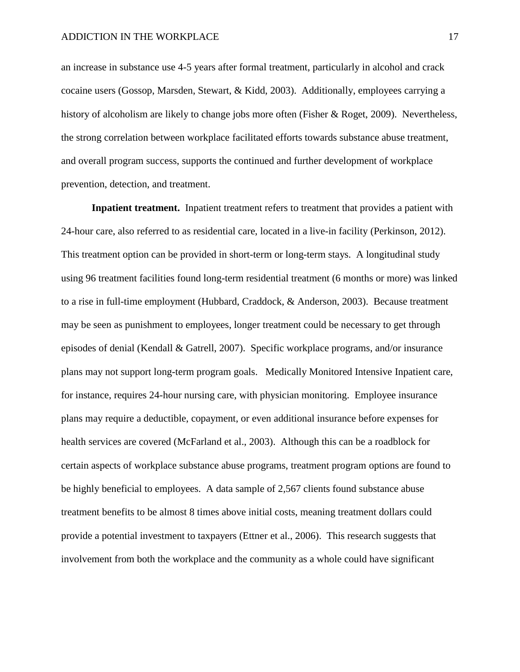an increase in substance use 4-5 years after formal treatment, particularly in alcohol and crack cocaine users (Gossop, Marsden, Stewart, & Kidd, 2003). Additionally, employees carrying a history of alcoholism are likely to change jobs more often (Fisher & Roget, 2009). Nevertheless, the strong correlation between workplace facilitated efforts towards substance abuse treatment, and overall program success, supports the continued and further development of workplace prevention, detection, and treatment.

**Inpatient treatment.** Inpatient treatment refers to treatment that provides a patient with 24-hour care, also referred to as residential care, located in a live-in facility (Perkinson, 2012). This treatment option can be provided in short-term or long-term stays. A longitudinal study using 96 treatment facilities found long-term residential treatment (6 months or more) was linked to a rise in full-time employment (Hubbard, Craddock, & Anderson, 2003). Because treatment may be seen as punishment to employees, longer treatment could be necessary to get through episodes of denial (Kendall & Gatrell, 2007). Specific workplace programs, and/or insurance plans may not support long-term program goals. Medically Monitored Intensive Inpatient care, for instance, requires 24-hour nursing care, with physician monitoring. Employee insurance plans may require a deductible, copayment, or even additional insurance before expenses for health services are covered (McFarland et al., 2003). Although this can be a roadblock for certain aspects of workplace substance abuse programs, treatment program options are found to be highly beneficial to employees. A data sample of 2,567 clients found substance abuse treatment benefits to be almost 8 times above initial costs, meaning treatment dollars could provide a potential investment to taxpayers (Ettner et al., 2006). This research suggests that involvement from both the workplace and the community as a whole could have significant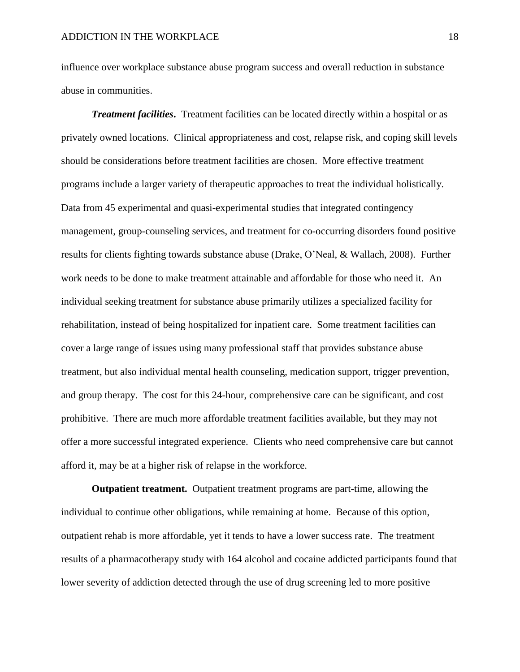influence over workplace substance abuse program success and overall reduction in substance abuse in communities.

*Treatment facilities***.** Treatment facilities can be located directly within a hospital or as privately owned locations. Clinical appropriateness and cost, relapse risk, and coping skill levels should be considerations before treatment facilities are chosen. More effective treatment programs include a larger variety of therapeutic approaches to treat the individual holistically. Data from 45 experimental and quasi-experimental studies that integrated contingency management, group-counseling services, and treatment for co-occurring disorders found positive results for clients fighting towards substance abuse (Drake, O'Neal, & Wallach, 2008). Further work needs to be done to make treatment attainable and affordable for those who need it. An individual seeking treatment for substance abuse primarily utilizes a specialized facility for rehabilitation, instead of being hospitalized for inpatient care. Some treatment facilities can cover a large range of issues using many professional staff that provides substance abuse treatment, but also individual mental health counseling, medication support, trigger prevention, and group therapy. The cost for this 24-hour, comprehensive care can be significant, and cost prohibitive. There are much more affordable treatment facilities available, but they may not offer a more successful integrated experience. Clients who need comprehensive care but cannot afford it, may be at a higher risk of relapse in the workforce.

**Outpatient treatment.** Outpatient treatment programs are part-time, allowing the individual to continue other obligations, while remaining at home. Because of this option, outpatient rehab is more affordable, yet it tends to have a lower success rate. The treatment results of a pharmacotherapy study with 164 alcohol and cocaine addicted participants found that lower severity of addiction detected through the use of drug screening led to more positive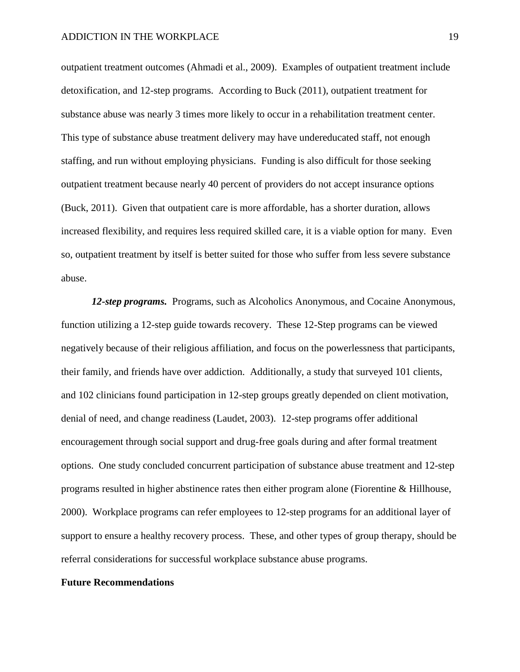outpatient treatment outcomes (Ahmadi et al., 2009). Examples of outpatient treatment include detoxification, and 12-step programs. According to Buck (2011), outpatient treatment for substance abuse was nearly 3 times more likely to occur in a rehabilitation treatment center. This type of substance abuse treatment delivery may have undereducated staff, not enough staffing, and run without employing physicians. Funding is also difficult for those seeking outpatient treatment because nearly 40 percent of providers do not accept insurance options (Buck, 2011). Given that outpatient care is more affordable, has a shorter duration, allows increased flexibility, and requires less required skilled care, it is a viable option for many. Even so, outpatient treatment by itself is better suited for those who suffer from less severe substance abuse.

*12-step programs.* Programs, such as Alcoholics Anonymous, and Cocaine Anonymous, function utilizing a 12-step guide towards recovery. These 12-Step programs can be viewed negatively because of their religious affiliation, and focus on the powerlessness that participants, their family, and friends have over addiction.Additionally, a study that surveyed 101 clients, and 102 clinicians found participation in 12-step groups greatly depended on client motivation, denial of need, and change readiness (Laudet, 2003). 12-step programs offer additional encouragement through social support and drug-free goals during and after formal treatment options. One study concluded concurrent participation of substance abuse treatment and 12-step programs resulted in higher abstinence rates then either program alone (Fiorentine & Hillhouse, 2000). Workplace programs can refer employees to 12-step programs for an additional layer of support to ensure a healthy recovery process. These, and other types of group therapy, should be referral considerations for successful workplace substance abuse programs.

#### **Future Recommendations**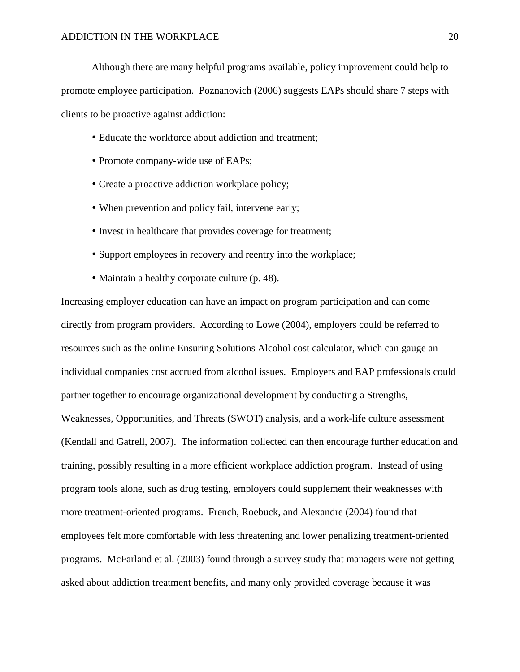Although there are many helpful programs available, policy improvement could help to promote employee participation. Poznanovich (2006) suggests EAPs should share 7 steps with clients to be proactive against addiction:

- Educate the workforce about addiction and treatment;
- Promote company-wide use of EAPs;
- Create a proactive addiction workplace policy;
- When prevention and policy fail, intervene early;
- Invest in healthcare that provides coverage for treatment;
- Support employees in recovery and reentry into the workplace;
- Maintain a healthy corporate culture (p. 48).

Increasing employer education can have an impact on program participation and can come directly from program providers. According to Lowe (2004), employers could be referred to resources such as the online Ensuring Solutions Alcohol cost calculator, which can gauge an individual companies cost accrued from alcohol issues. Employers and EAP professionals could partner together to encourage organizational development by conducting a Strengths, Weaknesses, Opportunities, and Threats (SWOT) analysis, and a work-life culture assessment (Kendall and Gatrell, 2007). The information collected can then encourage further education and training, possibly resulting in a more efficient workplace addiction program. Instead of using program tools alone, such as drug testing, employers could supplement their weaknesses with more treatment-oriented programs. French, Roebuck, and Alexandre (2004) found that employees felt more comfortable with less threatening and lower penalizing treatment-oriented programs. McFarland et al. (2003) found through a survey study that managers were not getting asked about addiction treatment benefits, and many only provided coverage because it was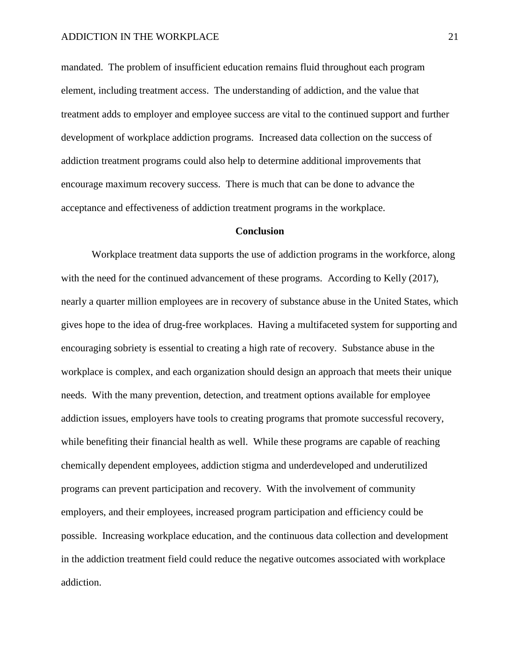mandated. The problem of insufficient education remains fluid throughout each program element, including treatment access. The understanding of addiction, and the value that treatment adds to employer and employee success are vital to the continued support and further development of workplace addiction programs. Increased data collection on the success of addiction treatment programs could also help to determine additional improvements that encourage maximum recovery success. There is much that can be done to advance the acceptance and effectiveness of addiction treatment programs in the workplace.

#### **Conclusion**

Workplace treatment data supports the use of addiction programs in the workforce, along with the need for the continued advancement of these programs. According to Kelly (2017), nearly a quarter million employees are in recovery of substance abuse in the United States, which gives hope to the idea of drug-free workplaces. Having a multifaceted system for supporting and encouraging sobriety is essential to creating a high rate of recovery. Substance abuse in the workplace is complex, and each organization should design an approach that meets their unique needs. With the many prevention, detection, and treatment options available for employee addiction issues, employers have tools to creating programs that promote successful recovery, while benefiting their financial health as well. While these programs are capable of reaching chemically dependent employees, addiction stigma and underdeveloped and underutilized programs can prevent participation and recovery. With the involvement of community employers, and their employees, increased program participation and efficiency could be possible. Increasing workplace education, and the continuous data collection and development in the addiction treatment field could reduce the negative outcomes associated with workplace addiction.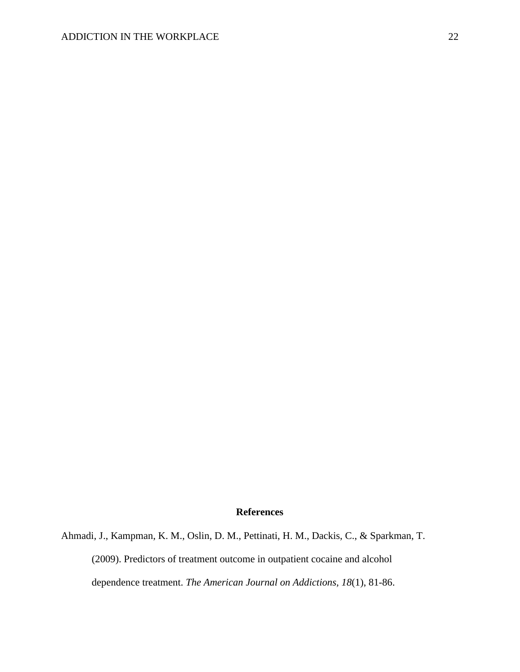#### **References**

Ahmadi, J., Kampman, K. M., Oslin, D. M., Pettinati, H. M., Dackis, C., & Sparkman, T. (2009). Predictors of treatment outcome in outpatient cocaine and alcohol dependence treatment. *The American Journal on Addictions, 18*(1), 81-86.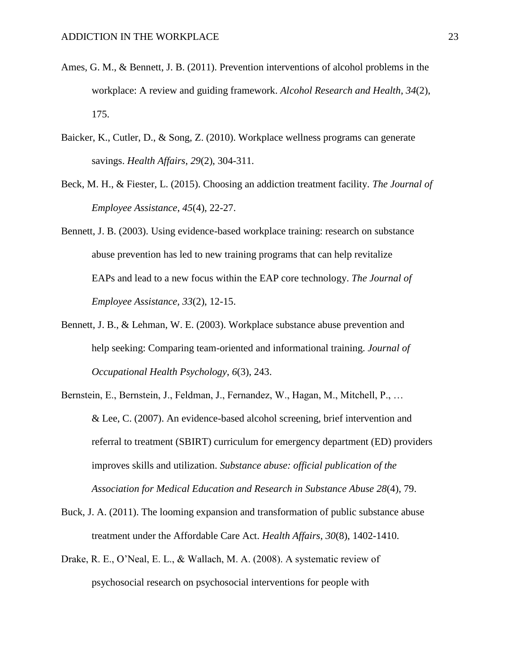- Ames, G. M., & Bennett, J. B. (2011). Prevention interventions of alcohol problems in the workplace: A review and guiding framework. *Alcohol Research and Health*, *34*(2), 175.
- Baicker, K., Cutler, D., & Song, Z. (2010). Workplace wellness programs can generate savings. *Health Affairs*, *29*(2), 304-311.
- Beck, M. H., & Fiester, L. (2015). Choosing an addiction treatment facility. *The Journal of Employee Assistance*, *45*(4), 22-27.
- Bennett, J. B. (2003). Using evidence-based workplace training: research on substance abuse prevention has led to new training programs that can help revitalize EAPs and lead to a new focus within the EAP core technology. *The Journal of Employee Assistance, 33*(2), 12-15.
- Bennett, J. B., & Lehman, W. E. (2003). Workplace substance abuse prevention and help seeking: Comparing team-oriented and informational training. *Journal of Occupational Health Psychology*, *6*(3), 243.
- Bernstein, E., Bernstein, J., Feldman, J., Fernandez, W., Hagan, M., Mitchell, P., … & Lee, C. (2007). An evidence-based alcohol screening, brief intervention and referral to treatment (SBIRT) curriculum for emergency department (ED) providers improves skills and utilization. *Substance abuse: official publication of the Association for Medical Education and Research in Substance Abuse 28*(4), 79.
- Buck, J. A. (2011). The looming expansion and transformation of public substance abuse treatment under the Affordable Care Act. *Health Affairs*, *30*(8), 1402-1410.
- Drake, R. E., O'Neal, E. L., & Wallach, M. A. (2008). A systematic review of psychosocial research on psychosocial interventions for people with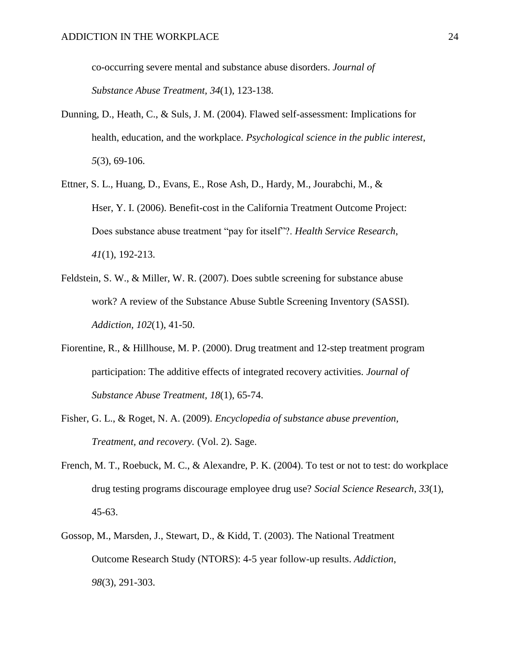co-occurring severe mental and substance abuse disorders. *Journal of Substance Abuse Treatment, 34*(1), 123-138.

- Dunning, D., Heath, C., & Suls, J. M. (2004). Flawed self-assessment: Implications for health, education, and the workplace. *Psychological science in the public interest*, *5*(3), 69-106.
- Ettner, S. L., Huang, D., Evans, E., Rose Ash, D., Hardy, M., Jourabchi, M., & Hser, Y. I. (2006). Benefit-cost in the California Treatment Outcome Project: Does substance abuse treatment "pay for itself"?. *Health Service Research*, *41*(1), 192-213.
- Feldstein, S. W., & Miller, W. R. (2007). Does subtle screening for substance abuse work? A review of the Substance Abuse Subtle Screening Inventory (SASSI). *Addiction, 102*(1), 41-50.
- Fiorentine, R., & Hillhouse, M. P. (2000). Drug treatment and 12-step treatment program participation: The additive effects of integrated recovery activities. *Journal of Substance Abuse Treatment, 18*(1), 65-74.
- Fisher, G. L., & Roget, N. A. (2009). *Encyclopedia of substance abuse prevention, Treatment, and recovery.* (Vol. 2). Sage.
- French, M. T., Roebuck, M. C., & Alexandre, P. K. (2004). To test or not to test: do workplace drug testing programs discourage employee drug use? *Social Science Research*, *33*(1), 45-63.
- Gossop, M., Marsden, J., Stewart, D., & Kidd, T. (2003). The National Treatment Outcome Research Study (NTORS): 4-5 year follow-up results. *Addiction*, *98*(3), 291-303.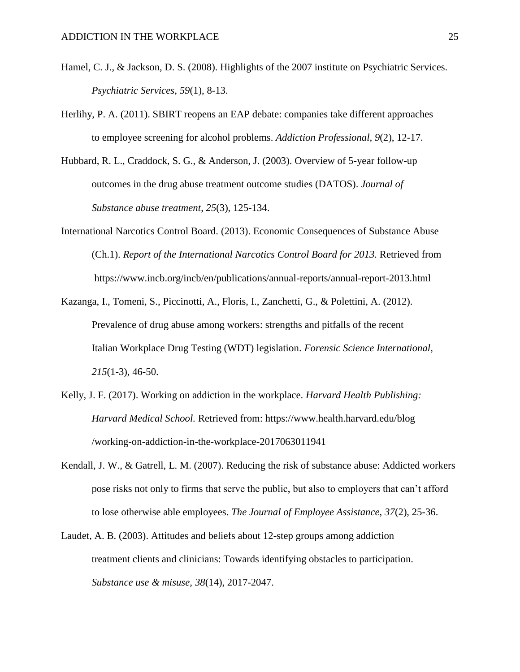- Hamel, C. J., & Jackson, D. S. (2008). Highlights of the 2007 institute on Psychiatric Services. *Psychiatric Services*, *59*(1), 8-13.
- Herlihy, P. A. (2011). SBIRT reopens an EAP debate: companies take different approaches to employee screening for alcohol problems. *Addiction Professional, 9*(2), 12-17.
- Hubbard, R. L., Craddock, S. G., & Anderson, J. (2003). Overview of 5-year follow-up outcomes in the drug abuse treatment outcome studies (DATOS). *Journal of Substance abuse treatment*, *25*(3), 125-134.
- International Narcotics Control Board. (2013). Economic Consequences of Substance Abuse (Ch.1). *Report of the International Narcotics Control Board for 2013.* Retrieved from https://www.incb.org/incb/en/publications/annual-reports/annual-report-2013.html
- Kazanga, I., Tomeni, S., Piccinotti, A., Floris, I., Zanchetti, G., & Polettini, A. (2012). Prevalence of drug abuse among workers: strengths and pitfalls of the recent Italian Workplace Drug Testing (WDT) legislation. *Forensic Science International*, *215*(1-3), 46-50.
- Kelly, J. F. (2017). Working on addiction in the workplace. *Harvard Health Publishing: Harvard Medical School.* Retrieved from: https://www.health.harvard.edu/blog /working-on-addiction-in-the-workplace-2017063011941
- Kendall, J. W., & Gatrell, L. M. (2007). Reducing the risk of substance abuse: Addicted workers pose risks not only to firms that serve the public, but also to employers that can't afford to lose otherwise able employees. *The Journal of Employee Assistance*, *37*(2), 25-36.
- Laudet, A. B. (2003). Attitudes and beliefs about 12-step groups among addiction treatment clients and clinicians: Towards identifying obstacles to participation. *Substance use & misuse, 38*(14), 2017-2047.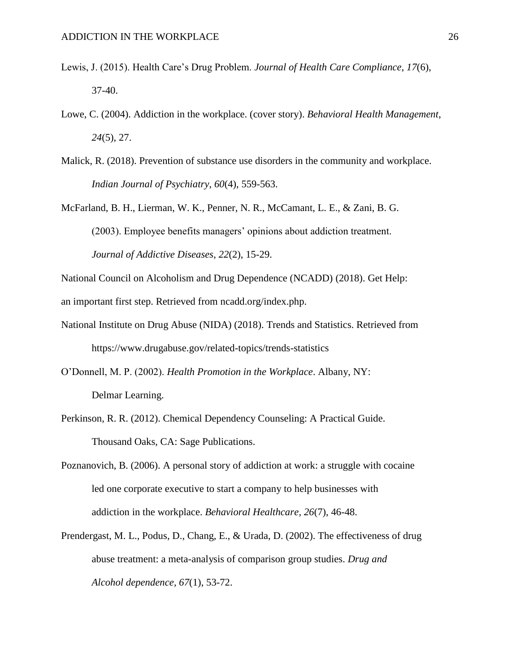- Lewis, J. (2015). Health Care's Drug Problem. *Journal of Health Care Compliance*, *17*(6), 37-40.
- Lowe, C. (2004). Addiction in the workplace. (cover story). *Behavioral Health Management*, *24*(5), 27.
- Malick, R. (2018). Prevention of substance use disorders in the community and workplace. *Indian Journal of Psychiatry*, *60*(4), 559-563.
- McFarland, B. H., Lierman, W. K., Penner, N. R., McCamant, L. E., & Zani, B. G. (2003). Employee benefits managers' opinions about addiction treatment. *Journal of Addictive Diseases*, *22*(2), 15-29.

National Council on Alcoholism and Drug Dependence (NCADD) (2018). Get Help:

an important first step. Retrieved from ncadd.org/index.php.

- National Institute on Drug Abuse (NIDA) (2018). Trends and Statistics. Retrieved from https://www.drugabuse.gov/related-topics/trends-statistics
- O'Donnell, M. P. (2002). *Health Promotion in the Workplace*. Albany, NY: Delmar Learning.
- Perkinson, R. R. (2012). Chemical Dependency Counseling: A Practical Guide. Thousand Oaks, CA: Sage Publications.
- Poznanovich, B. (2006). A personal story of addiction at work: a struggle with cocaine led one corporate executive to start a company to help businesses with addiction in the workplace. *Behavioral Healthcare, 26*(7), 46-48.
- Prendergast, M. L., Podus, D., Chang, E., & Urada, D. (2002). The effectiveness of drug abuse treatment: a meta-analysis of comparison group studies. *Drug and Alcohol dependence*, *67*(1), 53-72.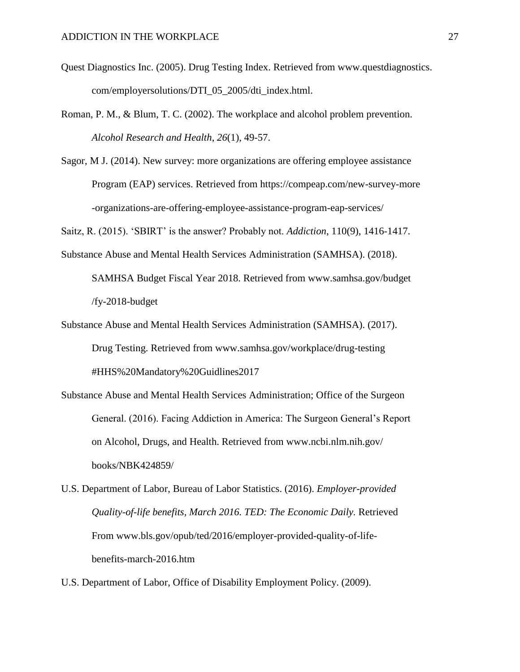- Quest Diagnostics Inc. (2005). Drug Testing Index. Retrieved from www.questdiagnostics. com/employersolutions/DTI\_05\_2005/dti\_index.html.
- Roman, P. M., & Blum, T. C. (2002). The workplace and alcohol problem prevention. *Alcohol Research and Health*, *26*(1), 49-57.
- Sagor, M J. (2014). New survey: more organizations are offering employee assistance Program (EAP) services. Retrieved from https://compeap.com/new-survey-more -organizations-are-offering-employee-assistance-program-eap-services/

Saitz, R. (2015). 'SBIRT' is the answer? Probably not. *Addiction*, 110(9), 1416-1417.

Substance Abuse and Mental Health Services Administration (SAMHSA). (2018).

SAMHSA Budget Fiscal Year 2018. Retrieved from www.samhsa.gov/budget /fy-2018-budget

- Substance Abuse and Mental Health Services Administration (SAMHSA). (2017). Drug Testing. Retrieved from www.samhsa.gov/workplace/drug-testing #HHS%20Mandatory%20Guidlines2017
- Substance Abuse and Mental Health Services Administration; Office of the Surgeon General. (2016). Facing Addiction in America: The Surgeon General's Report on Alcohol, Drugs, and Health. Retrieved from www.ncbi.nlm.nih.gov/ books/NBK424859/
- U.S. Department of Labor, Bureau of Labor Statistics. (2016). *Employer-provided Quality-of-life benefits, March 2016. TED: The Economic Daily.* Retrieved From www.bls.gov/opub/ted/2016/employer-provided-quality-of-lifebenefits-march-2016.htm

U.S. Department of Labor, Office of Disability Employment Policy. (2009).